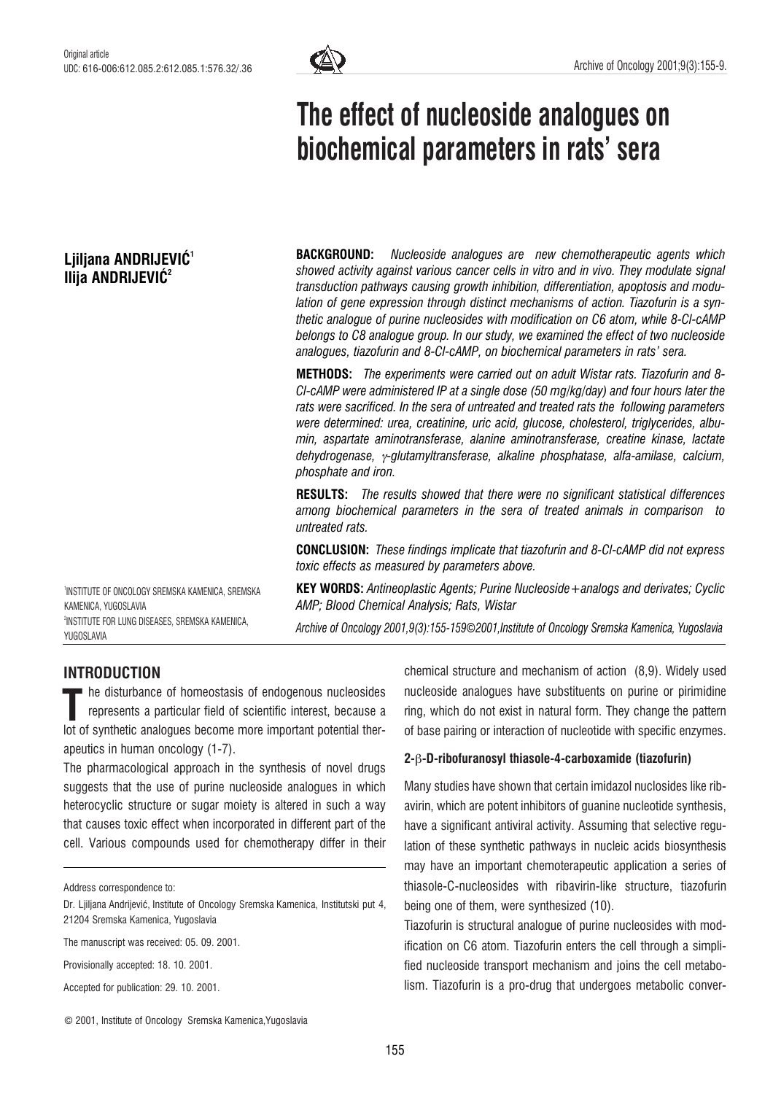# Ljiljana ANDRIJEVIĆ<sup>1</sup> Ilija ANDRIJEVIĆ<sup>2</sup>



**BACKGROUND:** Nucleoside analogues are new chemotherapeutic agents which showed activity against various cancer cells in vitro and in vivo. They modulate signal transduction pathways causing growth inhibition, differentiation, apoptosis and modulation of gene expression through distinct mechanisms of action. Tiazofurin is a synthetic analogue of purine nucleosides with modification on C6 atom, while 8-Cl-cAMP belongs to C8 analogue group. In our study, we examined the effect of two nucleoside analogues, tiazofurin and 8-Cl-cAMP, on biochemical parameters in rats' sera.

METHODS: The experiments were carried out on adult Wistar rats. Tiazofurin and 8- Cl-cAMP were administered IP at a single dose (50 mg/kg/day) and four hours later the rats were sacrificed. In the sera of untreated and treated rats the following parameters were determined: urea, creatinine, uric acid, glucose, cholesterol, triglycerides, albumin, aspartate aminotransferase, alanine aminotransferase, creatine kinase, lactate dehydrogenase,  $\gamma$ -glutamyltransferase, alkaline phosphatase, alfa-amilase, calcium, phosphate and iron.

RESULTS: The results showed that there were no significant statistical differences among biochemical parameters in the sera of treated animals in comparison to untreated rats.

CONCLUSION: These findings implicate that tiazofurin and 8-Cl-cAMP did not express toxic effects as measured by parameters above.

1 INSTITUTE OF ONCOLOGY SREMSKA KAMENICA, SREMSKA KAMENICA, YUGOSLAVIA 2 INSTITUTE FOR LUNG DISEASES, SREMSKA KAMENICA, YUGOSLAVIA

KEY WORDS: Antineoplastic Agents; Purine Nucleoside + analogs and derivates; Cyclic AMP; Blood Chemical Analysis; Rats, Wistar

Archive of Oncology 2001,9(3):155-159*©*2001,Institute of Oncology Sremska Kamenica, Yugoslavia

# INTRODUCTION

he disturbance of homeostasis of endogenous nucleosides represents a particular field of scientific interest, because a The disturbance of homeostasis of endogenous nucleosides<br>represents a particular field of scientific interest, because a<br>lot of synthetic analogues become more important potential therapeutics in human oncology (1-7).

The pharmacological approach in the synthesis of novel drugs suggests that the use of purine nucleoside analogues in which heterocyclic structure or sugar moiety is altered in such a way that causes toxic effect when incorporated in different part of the cell. Various compounds used for chemotherapy differ in their

Provisionally accepted: 18. 10. 2001.

Accepted for publication: 29. 10. 2001.

chemical structure and mechanism of action (8,9). Widely used nucleoside analogues have substituents on purine or pirimidine ring, which do not exist in natural form. They change the pattern of base pairing or interaction of nucleotide with specific enzymes.

### 2-b-D-ribofuranosyl thiasole-4-carboxamide (tiazofurin)

Many studies have shown that certain imidazol nuclosides like ribavirin, which are potent inhibitors of guanine nucleotide synthesis, have a significant antiviral activity. Assuming that selective regulation of these synthetic pathways in nucleic acids biosynthesis may have an important chemoterapeutic application a series of thiasole-C-nucleosides with ribavirin-like structure, tiazofurin being one of them, were synthesized (10).

Tiazofurin is structural analogue of purine nucleosides with modification on C6 atom. Tiazofurin enters the cell through a simplified nucleoside transport mechanism and joins the cell metabolism. Tiazofurin is a pro-drug that undergoes metabolic conver-

Address correspondence to:

Dr. Ljiljana Andrijević, Institute of Oncology Sremska Kamenica, Institutski put 4, 21204 Sremska Kamenica, Yugoslavia

The manuscript was received: 05. 09. 2001.

<sup>©</sup> 2001, Institute of Oncology Sremska Kamenica,Yugoslavia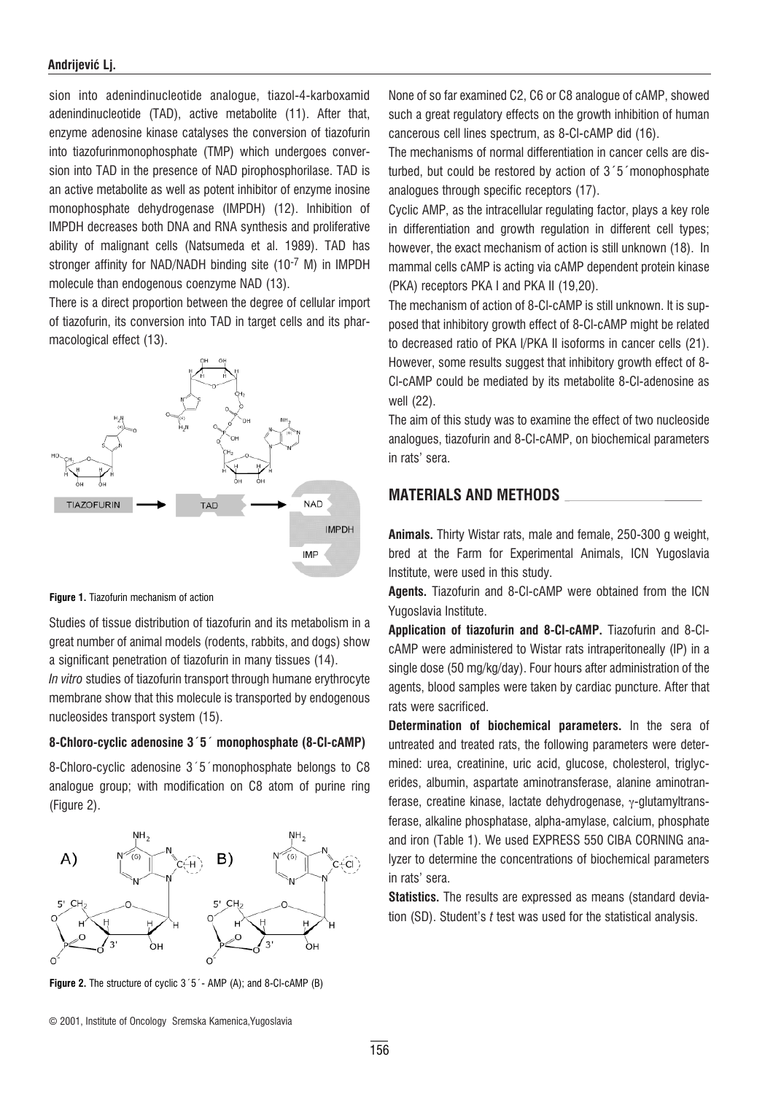#### Andrijević Lj.

sion into adenindinucleotide analogue, tiazol-4-karboxamid adenindinucleotide (TAD), active metabolite (11). After that, enzyme adenosine kinase catalyses the conversion of tiazofurin into tiazofurinmonophosphate (TMP) which undergoes conversion into TAD in the presence of NAD pirophosphorilase. TAD is an active metabolite as well as potent inhibitor of enzyme inosine monophosphate dehydrogenase (IMPDH) (12). Inhibition of IMPDH decreases both DNA and RNA synthesis and proliferative ability of malignant cells (Natsumeda et al. 1989). TAD has stronger affinity for NAD/NADH binding site (10-7 M) in IMPDH molecule than endogenous coenzyme NAD (13).

There is a direct proportion between the degree of cellular import of tiazofurin, its conversion into TAD in target cells and its pharmacological effect (13).



#### Figure 1. Tiazofurin mechanism of action

Studies of tissue distribution of tiazofurin and its metabolism in a great number of animal models (rodents, rabbits, and dogs) show a significant penetration of tiazofurin in many tissues (14).

In vitro studies of tiazofurin transport through humane erythrocyte membrane show that this molecule is transported by endogenous nucleosides transport system (15).

#### 8-Chloro-cyclic adenosine 3´5´ monophosphate (8-Cl-cAMP)

8-Chloro-cyclic adenosine 3´5´monophosphate belongs to C8 analogue group; with modification on C8 atom of purine ring (Figure 2).



Figure 2. The structure of cyclic 3´5´- AMP (A); and 8-Cl-cAMP (B)

None of so far examined C2, C6 or C8 analogue of cAMP, showed such a great regulatory effects on the growth inhibition of human cancerous cell lines spectrum, as 8-Cl-cAMP did (16).

The mechanisms of normal differentiation in cancer cells are disturbed, but could be restored by action of 3´5´monophosphate analogues through specific receptors (17).

Cyclic AMP, as the intracellular regulating factor, plays a key role in differentiation and growth regulation in different cell types; however, the exact mechanism of action is still unknown (18). In mammal cells cAMP is acting via cAMP dependent protein kinase (PKA) receptors PKA I and PKA II (19,20).

The mechanism of action of 8-Cl-cAMP is still unknown. It is supposed that inhibitory growth effect of 8-Cl-cAMP might be related to decreased ratio of PKA I/PKA II isoforms in cancer cells (21). However, some results suggest that inhibitory growth effect of 8- Cl-cAMP could be mediated by its metabolite 8-Cl-adenosine as well (22).

The aim of this study was to examine the effect of two nucleoside analogues, tiazofurin and 8-Cl-cAMP, on biochemical parameters in rats' sera.

### MATERIALS AND METHODS

Animals. Thirty Wistar rats, male and female, 250-300 g weight, bred at the Farm for Experimental Animals, ICN Yugoslavia Institute, were used in this study.

Agents. Tiazofurin and 8-Cl-cAMP were obtained from the ICN Yugoslavia Institute.

Application of tiazofurin and 8-Cl-cAMP. Tiazofurin and 8-ClcAMP were administered to Wistar rats intraperitoneally (IP) in a single dose (50 mg/kg/day). Four hours after administration of the agents, blood samples were taken by cardiac puncture. After that rats were sacrificed.

Determination of biochemical parameters. In the sera of untreated and treated rats, the following parameters were determined: urea, creatinine, uric acid, glucose, cholesterol, triglycerides, albumin, aspartate aminotransferase, alanine aminotranferase, creatine kinase, lactate dehydrogenase, y-glutamyltransferase, alkaline phosphatase, alpha-amylase, calcium, phosphate and iron (Table 1). We used EXPRESS 550 CIBA CORNING analyzer to determine the concentrations of biochemical parameters in rats' sera.

Statistics. The results are expressed as means (standard deviation (SD). Student's  $t$  test was used for the statistical analysis.

<sup>©</sup> 2001, Institute of Oncology Sremska Kamenica,Yugoslavia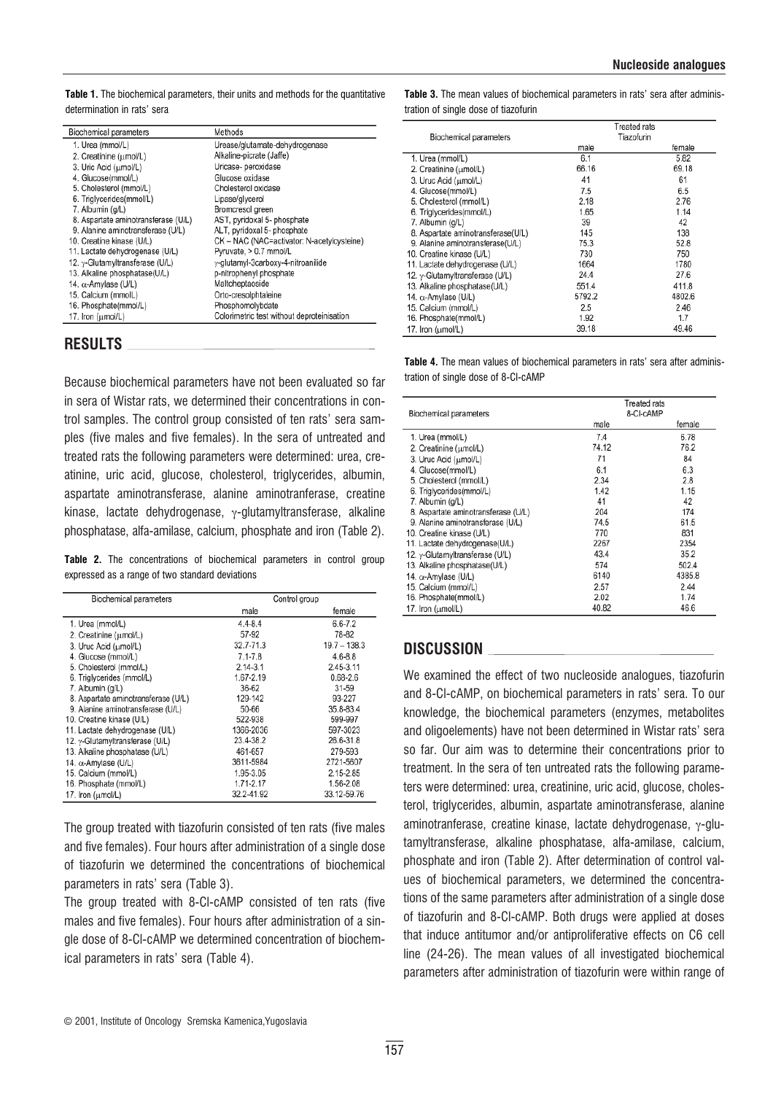Table 1. The biochemical parameters, their units and methods for the quantitative determination in rats' sera

| Biochemical parameters              | Methods                                    |
|-------------------------------------|--------------------------------------------|
| 1. Urea (mmol/L)                    | Urease/glutamate-dehydrogenase             |
| 2. Creatinine (umol/L)              | Alkaline-picrate (Jaffe)                   |
| 3. Uric Acid (umol/L)               | Uricase- peroxidase                        |
| 4. Glucose(mmol/L)                  | Glucose oxidase                            |
| 5. Cholesterol (mmol/L)             | Cholesterol oxidase                        |
| 6. Triglycerides(mmol/L)            | Lipase/glycerol                            |
| 7. Albumin (g/L)                    | Bromcresol green                           |
| 8. Aspartate aminotransferase (U/L) | AST, pyridoxal 5- phosphate                |
| 9. Alanine aminotransferase (U/L)   | ALT, pyridoxal 5- phosphate                |
| 10. Creatine kinase (U/L)           | CK - NAC (NAC=activator: N-acetylcysteine) |
| 11. Lactate dehydrogenase (U/L)     | Pyruvate, > 0.7 mmol/L                     |
| 12. y-Glutamyltransferase (U/L)     | y-glutamyl-3carboxy-4-nitroanilide         |
| 13. Alkaline phosphatase(U/L)       | p-nitrophenyl phosphate                    |
| 14. α-Amylase (U/L)                 | Maltoheptaoside                            |
| 15. Calcium (mmolL)                 | Orto-cresolphtaleine                       |
| 16. Phosphate(mmol/L)               | Phosphomolybdate                           |
| 17. Iron (umol/L)                   | Colorimetric test without deproteinisation |
|                                     |                                            |

### RESULTS

Because biochemical parameters have not been evaluated so far in sera of Wistar rats, we determined their concentrations in control samples. The control group consisted of ten rats' sera samples (five males and five females). In the sera of untreated and treated rats the following parameters were determined: urea, creatinine, uric acid, glucose, cholesterol, triglycerides, albumin, aspartate aminotransferase, alanine aminotranferase, creatine kinase, lactate dehydrogenase,  $\gamma$ -glutamyltransferase, alkaline phosphatase, alfa-amilase, calcium, phosphate and iron (Table 2).

Table 2. The concentrations of biochemical parameters in control group expressed as a range of two standard deviations

| <b>Biochemical parameters</b>       | Control group |                |
|-------------------------------------|---------------|----------------|
|                                     | male          | female         |
| 1. Urea (mmol/L)                    | $4.4 - 8.4$   | $6.6 - 7.2$    |
| 2. Creatinine (umol/L)              | 57-92         | 78-82          |
| 3. Uruc Acid (umol/L)               | 32.7-71.3     | $19.7 - 138.3$ |
| 4. Glucose (mmol/L)                 | $7.1 - 7.8$   | $4.6 - 8.8$    |
| 5. Cholesterol (mmol/L)             | $2.14 - 3.1$  | 2.45-3.11      |
| 6. Triglycerides (mmol/L)           | 1.67-2.19     | $0.68 - 2.6$   |
| 7. Albumin (q/L)                    | 36-62         | $31 - 59$      |
| 8. Aspartate aminotransferase (U/L) | 129-142       | 93-227         |
| 9. Alanine aminotransferase (U/L)   | 50-66         | 35.8-83.4      |
| 10. Creatine kinase (U/L)           | 522-938       | 599-997        |
| 11. Lactate dehydrogenase (U/L)     | 1366-2036     | 597-3023       |
| 12. y-Glutamyltransferase (U/L)     | 23.4-38.2     | 26.6-31.8      |
| 13. Alkaline phosphatase (U/L)      | 461-657       | 279-593        |
| 14. α-Amylase (U/L)                 | 3611-5984     | 2721-5607      |
| 15. Calcium (mmol/L)                | 1.95-3.05     | 2.15-2.85      |
| 16. Phosphate (mmol/L)              | 1.71-2.17     | 1.56-2.08      |
| 17. Iron (umol/L)                   | 32.2-41.92    | 33.12-59.76    |

The group treated with tiazofurin consisted of ten rats (five males and five females). Four hours after administration of a single dose of tiazofurin we determined the concentrations of biochemical parameters in rats' sera (Table 3).

The group treated with 8-Cl-cAMP consisted of ten rats (five males and five females). Four hours after administration of a single dose of 8-Cl-cAMP we determined concentration of biochemical parameters in rats' sera (Table 4).

Table 3. The mean values of biochemical parameters in rats' sera after administration of single dose of tiazofurin

| Biochemical parameters             |        | Treated rats<br>Tiazofurin |
|------------------------------------|--------|----------------------------|
|                                    | male   | female                     |
| 1. Urea (mmol/L)                   | 6.1    | 5.82                       |
| 2. Creatinine (umol/L)             | 66.16  | 69.18                      |
| 3. Uruc Acid (umol/L)              | 41     | 61                         |
| 4. Glucose(mmol/L)                 | 7.5    | 6.5                        |
| 5. Cholesterol (mmol/L)            | 2.18   | 2.76                       |
| 6. Triglycerides(mmol/L)           | 1.65   | 1.14                       |
| 7. Albumin (g/L)                   | 39     | 42                         |
| 8. Aspartate aminotransferase(U/L) | 145    | 138                        |
| 9. Alanine aminotransferase(U/L)   | 75.3   | 52.8                       |
| 10. Creatine kinase (U/L)          | 730    | 750                        |
| 11. Lactate dehydrogenase (U/L)    | 1664   | 1780                       |
| 12. y-Glutamyltransferase (U/L)    | 24.4   | 27.6                       |
| 13. Alkaline phosphatase(U/L)      | 551.4  | 411.8                      |
| 14. $\alpha$ -Amylase (U/L)        | 5792.2 | 4802.6                     |
| 15. Calcium (mmol/L)               | 2.5    | 2.46                       |
| 16. Phosphate(mmol/L)              | 1.92   | 1.7                        |
| 17. Iron (umol/L)                  | 39.18  | 49.46                      |

Table 4. The mean values of biochemical parameters in rats' sera after administration of single dose of 8-Cl-cAMP

| Biochemical parameters              | Treated rats<br>8-CI-cAMP |        |
|-------------------------------------|---------------------------|--------|
|                                     | male                      | female |
| 1. Urea (mmol/L)                    | 7.4                       | 6.78   |
| 2. Creatinine (µmol/L)              | 74.12                     | 76.2   |
| 3. Uruc Acid (umol/L)               | 71                        | 84     |
| 4. Glucose(mmol/L)                  | 6.1                       | 6.3    |
| 5. Cholesterol (mmol/L)             | 2.34                      | 2.8    |
| 6. Triglycerides(mmol/L)            | 1.42                      | 1.15   |
| 7. Albumin (g/L)                    | 41                        | 42     |
| 8. Aspartate aminotransferase (U/L) | 204                       | 174    |
| 9. Alanine aminotransferase (U/L)   | 74.5                      | 61.5   |
| 10. Creatine kinase (U/L)           | 770                       | 831    |
| 11. Lactate dehydrogenase(U/L)      | 2267                      | 2354   |
| 12. y-Glutamyltransferase (U/L)     | 43.4                      | 35.2   |
| 13. Alkaline phosphatase(U/L)       | 574                       | 502.4  |
| 14. α-Amylase (U/L)                 | 6140                      | 4385.8 |
| 15. Calcium (mmol/L)                | 2.57                      | 2.44   |
| 16. Phosphate(mmol/L)               | 2.02                      | 1.74   |
| 17. Iron (umol/L)                   | 40.82                     | 46.6   |

# DISCUSSION

We examined the effect of two nucleoside analogues, tiazofurin and 8-Cl-cAMP, on biochemical parameters in rats' sera. To our knowledge, the biochemical parameters (enzymes, metabolites and oligoelements) have not been determined in Wistar rats' sera so far. Our aim was to determine their concentrations prior to treatment. In the sera of ten untreated rats the following parameters were determined: urea, creatinine, uric acid, glucose, cholesterol, triglycerides, albumin, aspartate aminotransferase, alanine aminotranferase, creatine kinase, lactate dehydrogenase,  $\gamma$ -glutamyltransferase, alkaline phosphatase, alfa-amilase, calcium, phosphate and iron (Table 2). After determination of control values of biochemical parameters, we determined the concentrations of the same parameters after administration of a single dose of tiazofurin and 8-Cl-cAMP. Both drugs were applied at doses that induce antitumor and/or antiproliferative effects on C6 cell line (24-26). The mean values of all investigated biochemical parameters after administration of tiazofurin were within range of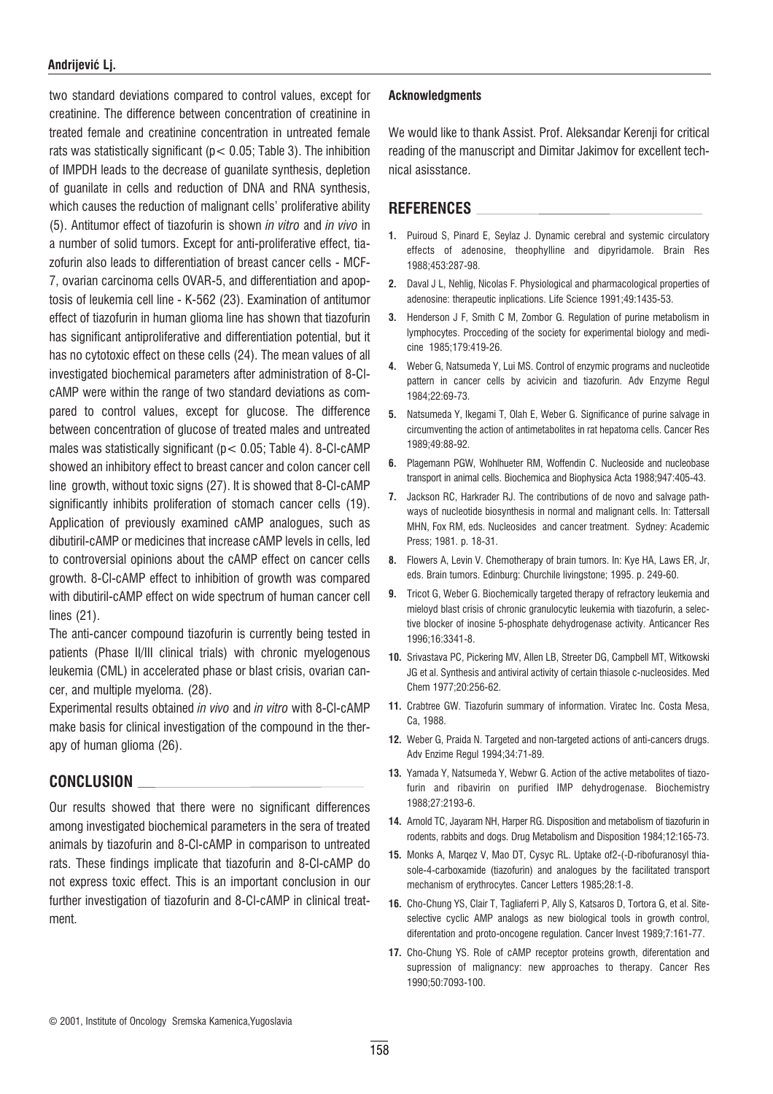### Andrijević Lj.

two standard deviations compared to control values, except for creatinine. The difference between concentration of creatinine in treated female and creatinine concentration in untreated female rats was statistically significant ( $p < 0.05$ ; Table 3). The inhibition of IMPDH leads to the decrease of guanilate synthesis, depletion of guanilate in cells and reduction of DNA and RNA synthesis, which causes the reduction of malignant cells' proliferative ability (5). Antitumor effect of tiazofurin is shown in vitro and in vivo in a number of solid tumors. Except for anti-proliferative effect, tiazofurin also leads to differentiation of breast cancer cells - MCF-7, ovarian carcinoma cells OVAR-5, and differentiation and apoptosis of leukemia cell line - K-562 (23). Examination of antitumor effect of tiazofurin in human glioma line has shown that tiazofurin has significant antiproliferative and differentiation potential, but it has no cytotoxic effect on these cells (24). The mean values of all investigated biochemical parameters after administration of 8-ClcAMP were within the range of two standard deviations as compared to control values, except for glucose. The difference between concentration of glucose of treated males and untreated males was statistically significant (p< 0.05; Table 4). 8-Cl-cAMP showed an inhibitory effect to breast cancer and colon cancer cell line growth, without toxic signs (27). It is showed that 8-Cl-cAMP significantly inhibits proliferation of stomach cancer cells (19). Application of previously examined cAMP analogues, such as dibutiril-cAMP or medicines that increase cAMP levels in cells, led to controversial opinions about the cAMP effect on cancer cells growth. 8-Cl-cAMP effect to inhibition of growth was compared with dibutiril-cAMP effect on wide spectrum of human cancer cell lines (21).

The anti-cancer compound tiazofurin is currently being tested in patients (Phase II/III clinical trials) with chronic myelogenous leukemia (CML) in accelerated phase or blast crisis, ovarian cancer, and multiple myeloma. (28).

Experimental results obtained in vivo and in vitro with 8-Cl-cAMP make basis for clinical investigation of the compound in the therapy of human glioma (26).

### CONCLUSION

Our results showed that there were no significant differences among investigated biochemical parameters in the sera of treated animals by tiazofurin and 8-Cl-cAMP in comparison to untreated rats. These findings implicate that tiazofurin and 8-Cl-cAMP do not express toxic effect. This is an important conclusion in our further investigation of tiazofurin and 8-Cl-cAMP in clinical treatment.

#### Acknowledgments

We would like to thank Assist. Prof. Aleksandar Kerenji for critical reading of the manuscript and Dimitar Jakimov for excellent technical asisstance.

# REFERENCES

- 1. Puiroud S, Pinard E, Seylaz J. Dynamic cerebral and systemic circulatory effects of adenosine, theophylline and dipyridamole. Brain Res 1988;453:287-98.
- 2. Daval J L, Nehlig, Nicolas F. Physiological and pharmacological properties of adenosine: therapeutic inplications. Life Science 1991;49:1435-53.
- 3. Henderson J F, Smith C M, Zombor G. Regulation of purine metabolism in lymphocytes. Procceding of the society for experimental biology and medicine 1985;179:419-26.
- 4. Weber G, Natsumeda Y, Lui MS. Control of enzymic programs and nucleotide pattern in cancer cells by acivicin and tiazofurin. Adv Enzyme Regul 1984;22:69-73.
- 5. Natsumeda Y, Ikegami T, Olah E, Weber G. Significance of purine salvage in circumventing the action of antimetabolites in rat hepatoma cells. Cancer Res 1989;49:88-92.
- 6. Plagemann PGW, Wohlhueter RM, Woffendin C. Nucleoside and nucleobase transport in animal cells. Biochemica and Biophysica Acta 1988;947:405-43.
- 7. Jackson RC, Harkrader RJ. The contributions of de novo and salvage pathways of nucleotide biosynthesis in normal and malignant cells. In: Tattersall MHN, Fox RM, eds. Nucleosides and cancer treatment. Sydney: Academic Press; 1981. p. 18-31.
- 8. Flowers A, Levin V. Chemotherapy of brain tumors. In: Kye HA, Laws ER, Jr, eds. Brain tumors. Edinburg: Churchile livingstone; 1995. p. 249-60.
- 9. Tricot G, Weber G. Biochemically targeted therapy of refractory leukemia and mieloyd blast crisis of chronic granulocytic leukemia with tiazofurin, a selective blocker of inosine 5-phosphate dehydrogenase activity. Anticancer Res 1996;16:3341-8.
- 10. Srivastava PC, Pickering MV, Allen LB, Streeter DG, Campbell MT, Witkowski JG et al. Synthesis and antiviral activity of certain thiasole c-nucleosides. Med Chem 1977;20:256-62.
- 11. Crabtree GW. Tiazofurin summary of information. Viratec Inc. Costa Mesa, Ca, 1988.
- 12. Weber G, Praida N. Targeted and non-targeted actions of anti-cancers drugs. Adv Enzime Regul 1994;34:71-89.
- 13. Yamada Y, Natsumeda Y, Webwr G. Action of the active metabolites of tiazofurin and ribavirin on purified IMP dehydrogenase. Biochemistry 1988;27:2193-6.
- 14. Arnold TC, Javaram NH, Harper RG, Disposition and metabolism of tiazofurin in rodents, rabbits and dogs. Drug Metabolism and Disposition 1984;12:165-73.
- 15. Monks A, Marqez V, Mao DT, Cysyc RL. Uptake of2-(-D-ribofuranosyl thiasole-4-carboxamide (tiazofurin) and analogues by the facilitated transport mechanism of erythrocytes. Cancer Letters 1985;28:1-8.
- 16. Cho-Chung YS, Clair T, Tagliaferri P, Ally S, Katsaros D, Tortora G, et al. Siteselective cyclic AMP analogs as new biological tools in growth control, diferentation and proto-oncogene regulation. Cancer Invest 1989;7:161-77.
- 17. Cho-Chung YS. Role of cAMP receptor proteins growth, diferentation and supression of malignancy: new approaches to therapy. Cancer Res 1990;50:7093-100.